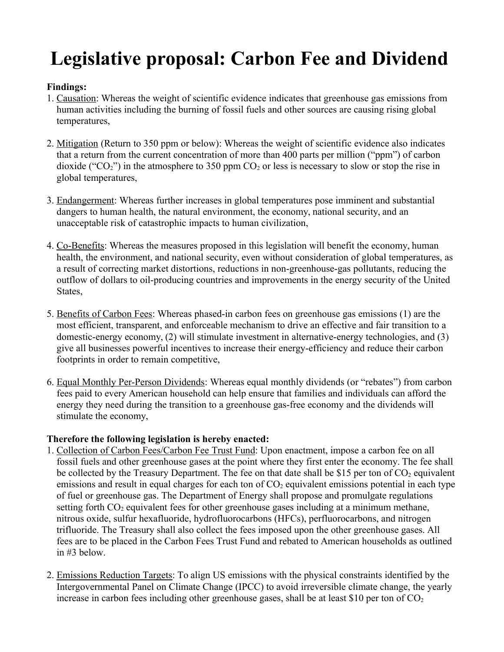## **Legislative proposal: Carbon Fee and Dividend**

## **Findings:**

- 1. Causation: Whereas the weight of scientific evidence indicates that greenhouse gas emissions from human activities including the burning of fossil fuels and other sources are causing rising global temperatures,
- 2. Mitigation (Return to 350 ppm or below): Whereas the weight of scientific evidence also indicates that a return from the current concentration of more than 400 parts per million ("ppm") of carbon dioxide ("CO<sub>2</sub>") in the atmosphere to 350 ppm  $CO<sub>2</sub>$  or less is necessary to slow or stop the rise in global temperatures,
- 3. Endangerment: Whereas further increases in global temperatures pose imminent and substantial dangers to human health, the natural environment, the economy, national security, and an unacceptable risk of catastrophic impacts to human civilization,
- 4. Co-Benefits: Whereas the measures proposed in this legislation will benefit the economy, human health, the environment, and national security, even without consideration of global temperatures, as a result of correcting market distortions, reductions in non-greenhouse-gas pollutants, reducing the outflow of dollars to oil-producing countries and improvements in the energy security of the United States,
- 5. Benefits of Carbon Fees: Whereas phased-in carbon fees on greenhouse gas emissions (1) are the most efficient, transparent, and enforceable mechanism to drive an effective and fair transition to a domestic-energy economy, (2) will stimulate investment in alternative-energy technologies, and (3) give all businesses powerful incentives to increase their energy-efficiency and reduce their carbon footprints in order to remain competitive,
- 6. Equal Monthly Per-Person Dividends: Whereas equal monthly dividends (or "rebates") from carbon fees paid to every American household can help ensure that families and individuals can afford the energy they need during the transition to a greenhouse gas-free economy and the dividends will stimulate the economy,

## **Therefore the following legislation is hereby enacted:**

- 1. Collection of Carbon Fees/Carbon Fee Trust Fund: Upon enactment, impose a carbon fee on all fossil fuels and other greenhouse gases at the point where they first enter the economy. The fee shall be collected by the Treasury Department. The fee on that date shall be \$15 per ton of  $CO<sub>2</sub>$  equivalent emissions and result in equal charges for each ton of  $CO<sub>2</sub>$  equivalent emissions potential in each type of fuel or greenhouse gas. The Department of Energy shall propose and promulgate regulations setting forth  $CO<sub>2</sub>$  equivalent fees for other greenhouse gases including at a minimum methane, nitrous oxide, sulfur hexafluoride, hydrofluorocarbons (HFCs), perfluorocarbons, and nitrogen trifluoride. The Treasury shall also collect the fees imposed upon the other greenhouse gases. All fees are to be placed in the Carbon Fees Trust Fund and rebated to American households as outlined in #3 below.
- 2. Emissions Reduction Targets: To align US emissions with the physical constraints identified by the Intergovernmental Panel on Climate Change (IPCC) to avoid irreversible climate change, the yearly increase in carbon fees including other greenhouse gases, shall be at least \$10 per ton of  $CO<sub>2</sub>$